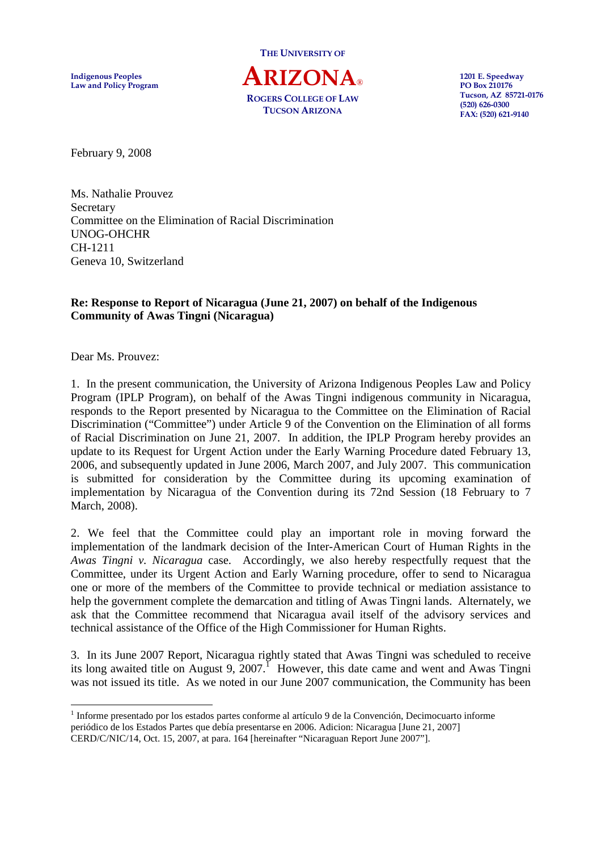THE UNIVERSITY OF

Indigenous Peoples  $\mathbf{ARIZONA}_{\circ}$  1201 E. Speedway PO Box 210176 Law and Policy Program **PO Box 210176**<br>POCEDS COLLEGE OF LAW Tucson, AZ 85721-0176 ROGERS COLLEGE OF LAW Tucson, AZ 85721-0176 TUCSON ARIZONA

(520) 626-0300 FAX: (520) 621-9140

February 9, 2008

Ms. Nathalie Prouvez **Secretary** Committee on the Elimination of Racial Discrimination UNOG-OHCHR CH-1211 Geneva 10, Switzerland

## **Re: Response to Report of Nicaragua (June 21, 2007) on behalf of the Indigenous Community of Awas Tingni (Nicaragua)**

Dear Ms. Prouvez:

1. In the present communication, the University of Arizona Indigenous Peoples Law and Policy Program (IPLP Program), on behalf of the Awas Tingni indigenous community in Nicaragua, responds to the Report presented by Nicaragua to the Committee on the Elimination of Racial Discrimination ("Committee") under Article 9 of the Convention on the Elimination of all forms of Racial Discrimination on June 21, 2007. In addition, the IPLP Program hereby provides an update to its Request for Urgent Action under the Early Warning Procedure dated February 13, 2006, and subsequently updated in June 2006, March 2007, and July 2007. This communication is submitted for consideration by the Committee during its upcoming examination of implementation by Nicaragua of the Convention during its 72nd Session (18 February to 7 March, 2008).

2. We feel that the Committee could play an important role in moving forward the implementation of the landmark decision of the Inter-American Court of Human Rights in the *Awas Tingni v. Nicaragua* case. Accordingly, we also hereby respectfully request that the Committee, under its Urgent Action and Early Warning procedure, offer to send to Nicaragua one or more of the members of the Committee to provide technical or mediation assistance to help the government complete the demarcation and titling of Awas Tingni lands. Alternately, we ask that the Committee recommend that Nicaragua avail itself of the advisory services and technical assistance of the Office of the High Commissioner for Human Rights.

3. In its June 2007 Report, Nicaragua rightly stated that Awas Tingni was scheduled to receive its long awaited title on August 9,  $2007$ .<sup>1</sup> However, this date came and went and Awas Tingni was not issued its title. As we noted in our June 2007 communication, the Community has been

<sup>-</sup><sup>1</sup> Informe presentado por los estados partes conforme al artículo 9 de la Convención, Decimocuarto informe periódico de los Estados Partes que debía presentarse en 2006. Adicion: Nicaragua [June 21, 2007] CERD/C/NIC/14, Oct. 15, 2007, at para. 164 [hereinafter "Nicaraguan Report June 2007"].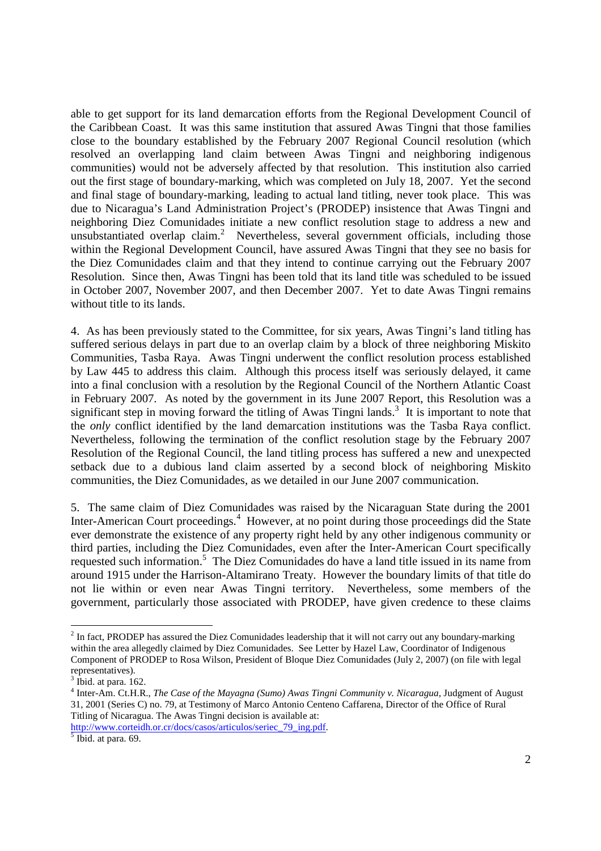able to get support for its land demarcation efforts from the Regional Development Council of the Caribbean Coast. It was this same institution that assured Awas Tingni that those families close to the boundary established by the February 2007 Regional Council resolution (which resolved an overlapping land claim between Awas Tingni and neighboring indigenous communities) would not be adversely affected by that resolution. This institution also carried out the first stage of boundary-marking, which was completed on July 18, 2007. Yet the second and final stage of boundary-marking, leading to actual land titling, never took place. This was due to Nicaragua's Land Administration Project's (PRODEP) insistence that Awas Tingni and neighboring Diez Comunidades initiate a new conflict resolution stage to address a new and unsubstantiated overlap claim.<sup>2</sup> Nevertheless, several government officials, including those within the Regional Development Council, have assured Awas Tingni that they see no basis for the Diez Comunidades claim and that they intend to continue carrying out the February 2007 Resolution. Since then, Awas Tingni has been told that its land title was scheduled to be issued in October 2007, November 2007, and then December 2007. Yet to date Awas Tingni remains without title to its lands.

4. As has been previously stated to the Committee, for six years, Awas Tingni's land titling has suffered serious delays in part due to an overlap claim by a block of three neighboring Miskito Communities, Tasba Raya. Awas Tingni underwent the conflict resolution process established by Law 445 to address this claim. Although this process itself was seriously delayed, it came into a final conclusion with a resolution by the Regional Council of the Northern Atlantic Coast in February 2007. As noted by the government in its June 2007 Report, this Resolution was a significant step in moving forward the titling of Awas Tingni lands.<sup>3</sup> It is important to note that the *only* conflict identified by the land demarcation institutions was the Tasba Raya conflict. Nevertheless, following the termination of the conflict resolution stage by the February 2007 Resolution of the Regional Council, the land titling process has suffered a new and unexpected setback due to a dubious land claim asserted by a second block of neighboring Miskito communities, the Diez Comunidades, as we detailed in our June 2007 communication.

5. The same claim of Diez Comunidades was raised by the Nicaraguan State during the 2001 Inter-American Court proceedings.<sup>4</sup> However, at no point during those proceedings did the State ever demonstrate the existence of any property right held by any other indigenous community or third parties, including the Diez Comunidades, even after the Inter-American Court specifically requested such information.<sup>5</sup> The Diez Comunidades do have a land title issued in its name from around 1915 under the Harrison-Altamirano Treaty. However the boundary limits of that title do not lie within or even near Awas Tingni territory. Nevertheless, some members of the government, particularly those associated with PRODEP, have given credence to these claims

-

 $2$  In fact, PRODEP has assured the Diez Comunidades leadership that it will not carry out any boundary-marking within the area allegedly claimed by Diez Comunidades. See Letter by Hazel Law, Coordinator of Indigenous Component of PRODEP to Rosa Wilson, President of Bloque Diez Comunidades (July 2, 2007) (on file with legal representatives).

 $3$  Ibid. at para. 162.

<sup>4</sup> Inter-Am. Ct.H.R., *The Case of the Mayagna (Sumo) Awas Tingni Community v. Nicaragua*, Judgment of August 31, 2001 (Series C) no. 79, at Testimony of Marco Antonio Centeno Caffarena, Director of the Office of Rural Titling of Nicaragua. The Awas Tingni decision is available at:

http://www.corteidh.or.cr/docs/casos/articulos/seriec 79 ing.pdf.<br><sup>5</sup> Ibid. at para. 69.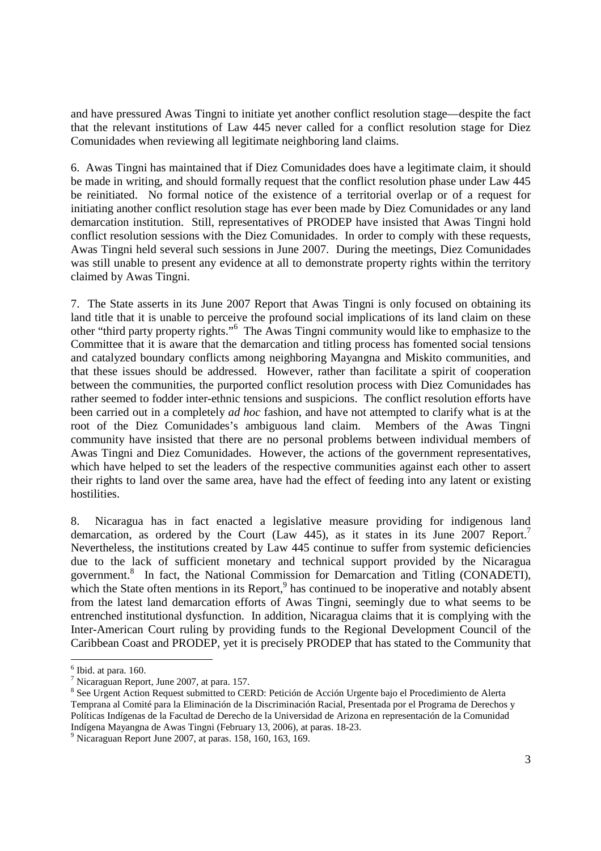and have pressured Awas Tingni to initiate yet another conflict resolution stage—despite the fact that the relevant institutions of Law 445 never called for a conflict resolution stage for Diez Comunidades when reviewing all legitimate neighboring land claims.

6. Awas Tingni has maintained that if Diez Comunidades does have a legitimate claim, it should be made in writing, and should formally request that the conflict resolution phase under Law 445 be reinitiated. No formal notice of the existence of a territorial overlap or of a request for initiating another conflict resolution stage has ever been made by Diez Comunidades or any land demarcation institution. Still, representatives of PRODEP have insisted that Awas Tingni hold conflict resolution sessions with the Diez Comunidades. In order to comply with these requests, Awas Tingni held several such sessions in June 2007. During the meetings, Diez Comunidades was still unable to present any evidence at all to demonstrate property rights within the territory claimed by Awas Tingni.

7. The State asserts in its June 2007 Report that Awas Tingni is only focused on obtaining its land title that it is unable to perceive the profound social implications of its land claim on these other "third party property rights."<sup>6</sup> The Awas Tingni community would like to emphasize to the Committee that it is aware that the demarcation and titling process has fomented social tensions and catalyzed boundary conflicts among neighboring Mayangna and Miskito communities, and that these issues should be addressed. However, rather than facilitate a spirit of cooperation between the communities, the purported conflict resolution process with Diez Comunidades has rather seemed to fodder inter-ethnic tensions and suspicions. The conflict resolution efforts have been carried out in a completely *ad hoc* fashion, and have not attempted to clarify what is at the root of the Diez Comunidades's ambiguous land claim. Members of the Awas Tingni community have insisted that there are no personal problems between individual members of Awas Tingni and Diez Comunidades. However, the actions of the government representatives, which have helped to set the leaders of the respective communities against each other to assert their rights to land over the same area, have had the effect of feeding into any latent or existing hostilities.

8. Nicaragua has in fact enacted a legislative measure providing for indigenous land demarcation, as ordered by the Court (Law 445), as it states in its June 2007 Report.<sup>7</sup> Nevertheless, the institutions created by Law 445 continue to suffer from systemic deficiencies due to the lack of sufficient monetary and technical support provided by the Nicaragua government.<sup>8</sup> In fact, the National Commission for Demarcation and Titling (CONADETI), which the State often mentions in its Report,<sup>9</sup> has continued to be inoperative and notably absent from the latest land demarcation efforts of Awas Tingni, seemingly due to what seems to be entrenched institutional dysfunction. In addition, Nicaragua claims that it is complying with the Inter-American Court ruling by providing funds to the Regional Development Council of the Caribbean Coast and PRODEP, yet it is precisely PRODEP that has stated to the Community that

-

 $<sup>6</sup>$  Ibid. at para. 160.</sup>

<sup>7</sup> Nicaraguan Report, June 2007, at para. 157.

<sup>&</sup>lt;sup>8</sup> See Urgent Action Request submitted to CERD: Petición de Acción Urgente bajo el Procedimiento de Alerta Temprana al Comité para la Eliminación de la Discriminación Racial, Presentada por el Programa de Derechos y Políticas Indígenas de la Facultad de Derecho de la Universidad de Arizona en representación de la Comunidad Indígena Mayangna de Awas Tingni (February 13, 2006), at paras. 18-23.

<sup>9</sup> Nicaraguan Report June 2007, at paras. 158, 160, 163, 169.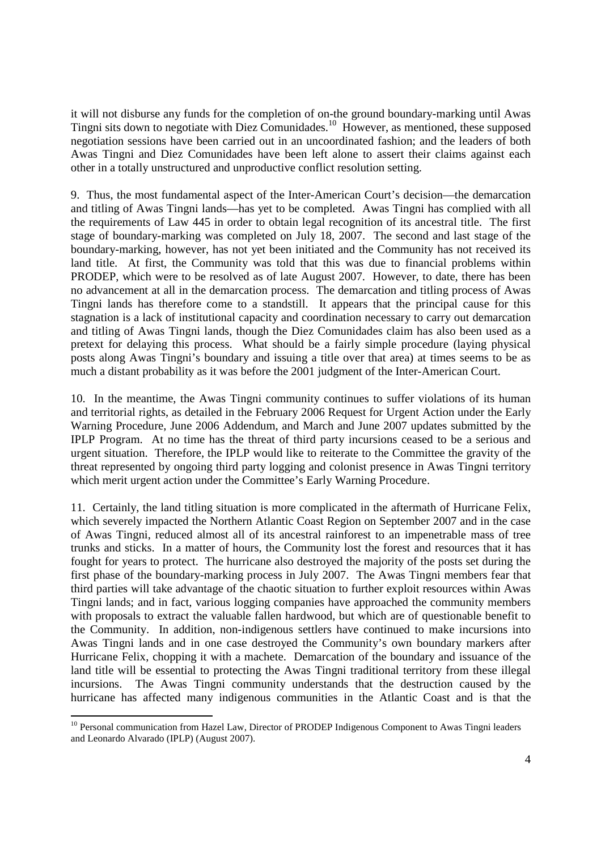it will not disburse any funds for the completion of on-the ground boundary-marking until Awas Tingni sits down to negotiate with Diez Comunidades. <sup>10</sup> However, as mentioned, these supposed negotiation sessions have been carried out in an uncoordinated fashion; and the leaders of both Awas Tingni and Diez Comunidades have been left alone to assert their claims against each other in a totally unstructured and unproductive conflict resolution setting.

9. Thus, the most fundamental aspect of the Inter-American Court's decision—the demarcation and titling of Awas Tingni lands—has yet to be completed. Awas Tingni has complied with all the requirements of Law 445 in order to obtain legal recognition of its ancestral title. The first stage of boundary-marking was completed on July 18, 2007. The second and last stage of the boundary-marking, however, has not yet been initiated and the Community has not received its land title. At first, the Community was told that this was due to financial problems within PRODEP, which were to be resolved as of late August 2007. However, to date, there has been no advancement at all in the demarcation process. The demarcation and titling process of Awas Tingni lands has therefore come to a standstill. It appears that the principal cause for this stagnation is a lack of institutional capacity and coordination necessary to carry out demarcation and titling of Awas Tingni lands, though the Diez Comunidades claim has also been used as a pretext for delaying this process. What should be a fairly simple procedure (laying physical posts along Awas Tingni's boundary and issuing a title over that area) at times seems to be as much a distant probability as it was before the 2001 judgment of the Inter-American Court.

10. In the meantime, the Awas Tingni community continues to suffer violations of its human and territorial rights, as detailed in the February 2006 Request for Urgent Action under the Early Warning Procedure, June 2006 Addendum, and March and June 2007 updates submitted by the IPLP Program. At no time has the threat of third party incursions ceased to be a serious and urgent situation. Therefore, the IPLP would like to reiterate to the Committee the gravity of the threat represented by ongoing third party logging and colonist presence in Awas Tingni territory which merit urgent action under the Committee's Early Warning Procedure.

11. Certainly, the land titling situation is more complicated in the aftermath of Hurricane Felix, which severely impacted the Northern Atlantic Coast Region on September 2007 and in the case of Awas Tingni, reduced almost all of its ancestral rainforest to an impenetrable mass of tree trunks and sticks. In a matter of hours, the Community lost the forest and resources that it has fought for years to protect. The hurricane also destroyed the majority of the posts set during the first phase of the boundary-marking process in July 2007. The Awas Tingni members fear that third parties will take advantage of the chaotic situation to further exploit resources within Awas Tingni lands; and in fact, various logging companies have approached the community members with proposals to extract the valuable fallen hardwood, but which are of questionable benefit to the Community. In addition, non-indigenous settlers have continued to make incursions into Awas Tingni lands and in one case destroyed the Community's own boundary markers after Hurricane Felix, chopping it with a machete. Demarcation of the boundary and issuance of the land title will be essential to protecting the Awas Tingni traditional territory from these illegal incursions. The Awas Tingni community understands that the destruction caused by the hurricane has affected many indigenous communities in the Atlantic Coast and is that the

<sup>&</sup>lt;u>.</u> <sup>10</sup> Personal communication from Hazel Law, Director of PRODEP Indigenous Component to Awas Tingni leaders and Leonardo Alvarado (IPLP) (August 2007).